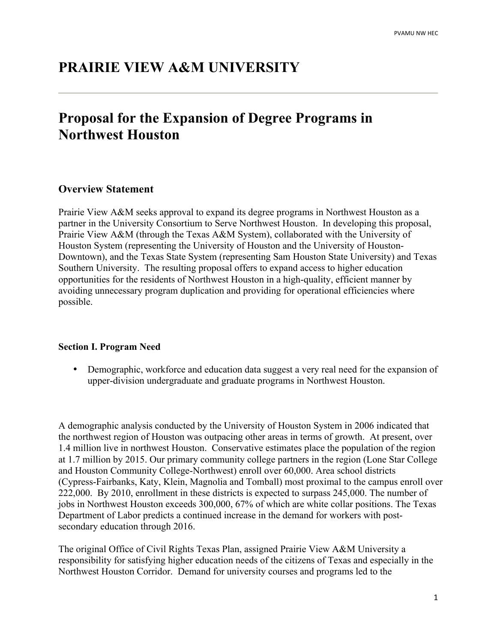# **PRAIRIE VIEW A&M UNIVERSITY**

# **Proposal for the Expansion of Degree Programs in Northwest Houston**

#### **Overview Statement**

Prairie View A&M seeks approval to expand its degree programs in Northwest Houston as a partner in the University Consortium to Serve Northwest Houston. In developing this proposal, Prairie View A&M (through the Texas A&M System), collaborated with the University of Houston System (representing the University of Houston and the University of Houston-Downtown), and the Texas State System (representing Sam Houston State University) and Texas Southern University. The resulting proposal offers to expand access to higher education opportunities for the residents of Northwest Houston in a high-quality, efficient manner by avoiding unnecessary program duplication and providing for operational efficiencies where possible.

#### **Section I. Program Need**

• Demographic, workforce and education data suggest a very real need for the expansion of upper-division undergraduate and graduate programs in Northwest Houston.

A demographic analysis conducted by the University of Houston System in 2006 indicated that the northwest region of Houston was outpacing other areas in terms of growth. At present, over 1.4 million live in northwest Houston. Conservative estimates place the population of the region at 1.7 million by 2015. Our primary community college partners in the region (Lone Star College and Houston Community College-Northwest) enroll over 60,000. Area school districts (Cypress-Fairbanks, Katy, Klein, Magnolia and Tomball) most proximal to the campus enroll over 222,000. By 2010, enrollment in these districts is expected to surpass 245,000. The number of jobs in Northwest Houston exceeds 300,000, 67% of which are white collar positions. The Texas Department of Labor predicts a continued increase in the demand for workers with postsecondary education through 2016.

The original Office of Civil Rights Texas Plan, assigned Prairie View A&M University a responsibility for satisfying higher education needs of the citizens of Texas and especially in the Northwest Houston Corridor. Demand for university courses and programs led to the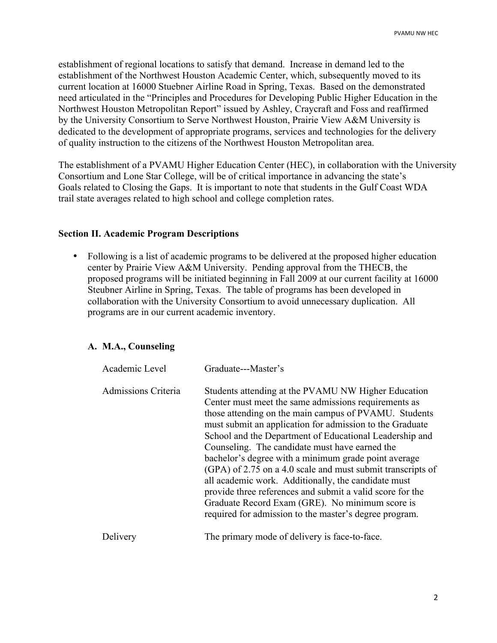establishment of regional locations to satisfy that demand. Increase in demand led to the establishment of the Northwest Houston Academic Center, which, subsequently moved to its current location at 16000 Stuebner Airline Road in Spring, Texas. Based on the demonstrated need articulated in the "Principles and Procedures for Developing Public Higher Education in the Northwest Houston Metropolitan Report" issued by Ashley, Craycraft and Foss and reaffirmed by the University Consortium to Serve Northwest Houston, Prairie View A&M University is dedicated to the development of appropriate programs, services and technologies for the delivery of quality instruction to the citizens of the Northwest Houston Metropolitan area.

The establishment of a PVAMU Higher Education Center (HEC), in collaboration with the University Consortium and Lone Star College, will be of critical importance in advancing the state's Goals related to Closing the Gaps. It is important to note that students in the Gulf Coast WDA trail state averages related to high school and college completion rates.

#### **Section II. Academic Program Descriptions**

• Following is a list of academic programs to be delivered at the proposed higher education center by Prairie View A&M University. Pending approval from the THECB, the proposed programs will be initiated beginning in Fall 2009 at our current facility at 16000 Steubner Airline in Spring, Texas. The table of programs has been developed in collaboration with the University Consortium to avoid unnecessary duplication. All programs are in our current academic inventory.

### **A. M.A., Counseling**

| Academic Level      | Graduate---Master's                                                                                                                                                                                                                                                                                                                                                                                                                                                                                                                                                                                                                                                                                   |
|---------------------|-------------------------------------------------------------------------------------------------------------------------------------------------------------------------------------------------------------------------------------------------------------------------------------------------------------------------------------------------------------------------------------------------------------------------------------------------------------------------------------------------------------------------------------------------------------------------------------------------------------------------------------------------------------------------------------------------------|
| Admissions Criteria | Students attending at the PVAMU NW Higher Education<br>Center must meet the same admissions requirements as<br>those attending on the main campus of PVAMU. Students<br>must submit an application for admission to the Graduate<br>School and the Department of Educational Leadership and<br>Counseling. The candidate must have earned the<br>bachelor's degree with a minimum grade point average<br>(GPA) of 2.75 on a 4.0 scale and must submit transcripts of<br>all academic work. Additionally, the candidate must<br>provide three references and submit a valid score for the<br>Graduate Record Exam (GRE). No minimum score is<br>required for admission to the master's degree program. |
| Delivery            | The primary mode of delivery is face-to-face.                                                                                                                                                                                                                                                                                                                                                                                                                                                                                                                                                                                                                                                         |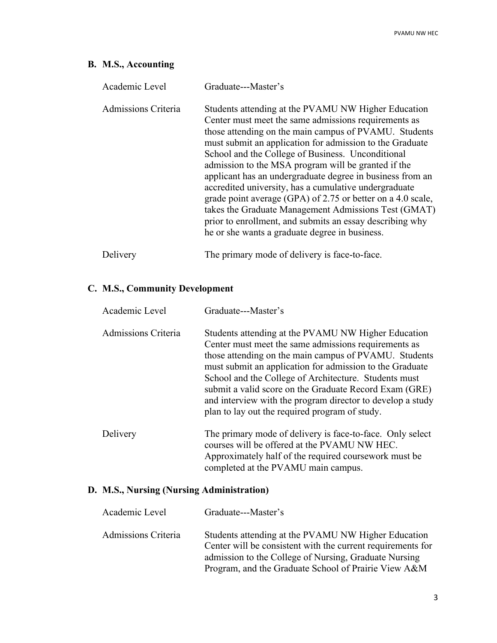# **B. M.S., Accounting**

| Academic Level      | Graduate---Master's                                                                                                                                                                                                                                                                                                                                                                                                                                                                                                                                                                                                                                                                                     |
|---------------------|---------------------------------------------------------------------------------------------------------------------------------------------------------------------------------------------------------------------------------------------------------------------------------------------------------------------------------------------------------------------------------------------------------------------------------------------------------------------------------------------------------------------------------------------------------------------------------------------------------------------------------------------------------------------------------------------------------|
| Admissions Criteria | Students attending at the PVAMU NW Higher Education<br>Center must meet the same admissions requirements as<br>those attending on the main campus of PVAMU. Students<br>must submit an application for admission to the Graduate<br>School and the College of Business. Unconditional<br>admission to the MSA program will be granted if the<br>applicant has an undergraduate degree in business from an<br>accredited university, has a cumulative undergraduate<br>grade point average (GPA) of 2.75 or better on a 4.0 scale,<br>takes the Graduate Management Admissions Test (GMAT)<br>prior to enrollment, and submits an essay describing why<br>he or she wants a graduate degree in business. |
| Delivery            | The primary mode of delivery is face-to-face.                                                                                                                                                                                                                                                                                                                                                                                                                                                                                                                                                                                                                                                           |

# **C. M.S., Community Development**

| Academic Level      | Graduate---Master's                                                                                                                                                                                                                                                                                                                                                                                                                                                 |
|---------------------|---------------------------------------------------------------------------------------------------------------------------------------------------------------------------------------------------------------------------------------------------------------------------------------------------------------------------------------------------------------------------------------------------------------------------------------------------------------------|
| Admissions Criteria | Students attending at the PVAMU NW Higher Education<br>Center must meet the same admissions requirements as<br>those attending on the main campus of PVAMU. Students<br>must submit an application for admission to the Graduate<br>School and the College of Architecture. Students must<br>submit a valid score on the Graduate Record Exam (GRE)<br>and interview with the program director to develop a study<br>plan to lay out the required program of study. |
| Delivery            | The primary mode of delivery is face-to-face. Only select<br>courses will be offered at the PVAMU NW HEC.<br>Approximately half of the required coursework must be.<br>completed at the PVAMU main campus.                                                                                                                                                                                                                                                          |

# **D. M.S., Nursing (Nursing Administration)**

| Academic Level      | Graduate---Master's                                                                                                                                                                                                                 |
|---------------------|-------------------------------------------------------------------------------------------------------------------------------------------------------------------------------------------------------------------------------------|
| Admissions Criteria | Students attending at the PVAMU NW Higher Education<br>Center will be consistent with the current requirements for<br>admission to the College of Nursing, Graduate Nursing<br>Program, and the Graduate School of Prairie View A&M |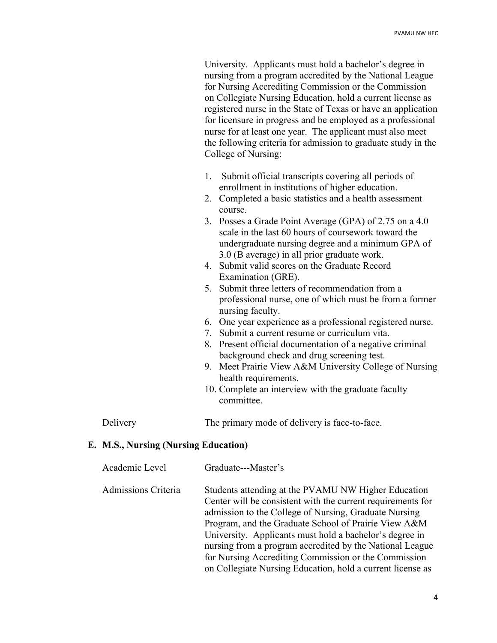University. Applicants must hold a bachelor's degree in nursing from a program accredited by the National League for Nursing Accrediting Commission or the Commission on Collegiate Nursing Education, hold a current license as registered nurse in the State of Texas or have an application for licensure in progress and be employed as a professional nurse for at least one year. The applicant must also meet the following criteria for admission to graduate study in the College of Nursing:

- 1. Submit official transcripts covering all periods of enrollment in institutions of higher education.
- 2. Completed a basic statistics and a health assessment course.
- 3. Posses a Grade Point Average (GPA) of 2.75 on a 4.0 scale in the last 60 hours of coursework toward the undergraduate nursing degree and a minimum GPA of 3.0 (B average) in all prior graduate work.
- 4. Submit valid scores on the Graduate Record Examination (GRE).
- 5. Submit three letters of recommendation from a professional nurse, one of which must be from a former nursing faculty.
- 6. One year experience as a professional registered nurse.
- 7. Submit a current resume or curriculum vita.
- 8. Present official documentation of a negative criminal background check and drug screening test.
- 9. Meet Prairie View A&M University College of Nursing health requirements.
- 10. Complete an interview with the graduate faculty committee.

Delivery The primary mode of delivery is face-to-face.

## **E. M.S., Nursing (Nursing Education)**

- Academic Level Graduate---Master's
- Admissions Criteria Students attending at the PVAMU NW Higher Education Center will be consistent with the current requirements for admission to the College of Nursing, Graduate Nursing Program, and the Graduate School of Prairie View A&M University. Applicants must hold a bachelor's degree in nursing from a program accredited by the National League for Nursing Accrediting Commission or the Commission on Collegiate Nursing Education, hold a current license as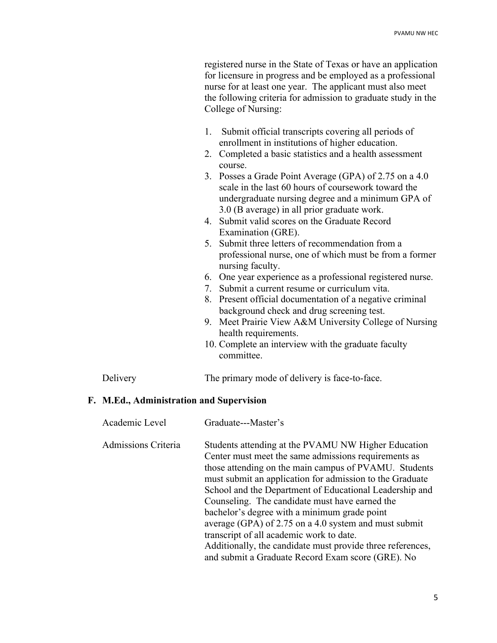registered nurse in the State of Texas or have an application for licensure in progress and be employed as a professional nurse for at least one year. The applicant must also meet the following criteria for admission to graduate study in the College of Nursing:

- 1. Submit official transcripts covering all periods of enrollment in institutions of higher education.
- 2. Completed a basic statistics and a health assessment course.
- 3. Posses a Grade Point Average (GPA) of 2.75 on a 4.0 scale in the last 60 hours of coursework toward the undergraduate nursing degree and a minimum GPA of 3.0 (B average) in all prior graduate work.
- 4. Submit valid scores on the Graduate Record Examination (GRE).
- 5. Submit three letters of recommendation from a professional nurse, one of which must be from a former nursing faculty.
- 6. One year experience as a professional registered nurse.
- 7. Submit a current resume or curriculum vita.
- 8. Present official documentation of a negative criminal background check and drug screening test.
- 9. Meet Prairie View A&M University College of Nursing health requirements.
- 10. Complete an interview with the graduate faculty committee.

Delivery The primary mode of delivery is face-to-face.

## **F. M.Ed., Administration and Supervision**

| Academic Level      | Graduate---Master's                                                                                                                                                                                                                                                                                                                                                                                                                                                                                                                                                                                                   |
|---------------------|-----------------------------------------------------------------------------------------------------------------------------------------------------------------------------------------------------------------------------------------------------------------------------------------------------------------------------------------------------------------------------------------------------------------------------------------------------------------------------------------------------------------------------------------------------------------------------------------------------------------------|
| Admissions Criteria | Students attending at the PVAMU NW Higher Education<br>Center must meet the same admissions requirements as<br>those attending on the main campus of PVAMU. Students<br>must submit an application for admission to the Graduate<br>School and the Department of Educational Leadership and<br>Counseling. The candidate must have earned the<br>bachelor's degree with a minimum grade point<br>average (GPA) of 2.75 on a 4.0 system and must submit<br>transcript of all academic work to date.<br>Additionally, the candidate must provide three references,<br>and submit a Graduate Record Exam score (GRE). No |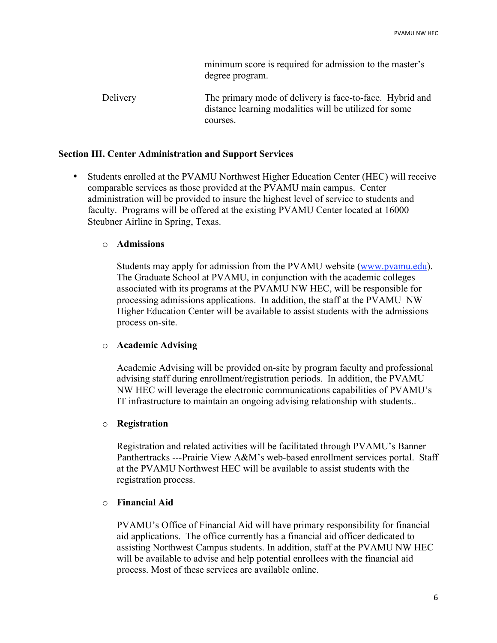minimum score is required for admission to the master's degree program.

Delivery The primary mode of delivery is face-to-face. Hybrid and distance learning modalities will be utilized for some courses.

#### **Section III. Center Administration and Support Services**

• Students enrolled at the PVAMU Northwest Higher Education Center (HEC) will receive comparable services as those provided at the PVAMU main campus. Center administration will be provided to insure the highest level of service to students and faculty. Programs will be offered at the existing PVAMU Center located at 16000 Steubner Airline in Spring, Texas.

#### o **Admissions**

Students may apply for admission from the PVAMU website (www.pvamu.edu). The Graduate School at PVAMU, in conjunction with the academic colleges associated with its programs at the PVAMU NW HEC, will be responsible for processing admissions applications. In addition, the staff at the PVAMU NW Higher Education Center will be available to assist students with the admissions process on-site.

### o **Academic Advising**

Academic Advising will be provided on-site by program faculty and professional advising staff during enrollment/registration periods. In addition, the PVAMU NW HEC will leverage the electronic communications capabilities of PVAMU's IT infrastructure to maintain an ongoing advising relationship with students..

### o **Registration**

Registration and related activities will be facilitated through PVAMU's Banner Panthertracks ---Prairie View A&M's web-based enrollment services portal. Staff at the PVAMU Northwest HEC will be available to assist students with the registration process.

#### o **Financial Aid**

PVAMU's Office of Financial Aid will have primary responsibility for financial aid applications. The office currently has a financial aid officer dedicated to assisting Northwest Campus students. In addition, staff at the PVAMU NW HEC will be available to advise and help potential enrollees with the financial aid process. Most of these services are available online.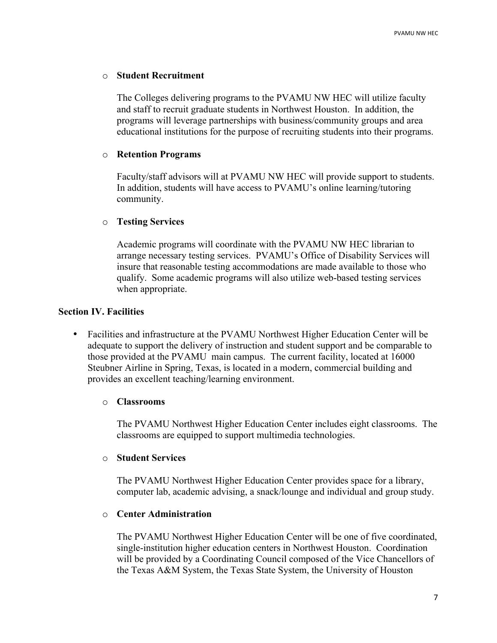#### o **Student Recruitment**

The Colleges delivering programs to the PVAMU NW HEC will utilize faculty and staff to recruit graduate students in Northwest Houston. In addition, the programs will leverage partnerships with business/community groups and area educational institutions for the purpose of recruiting students into their programs.

#### o **Retention Programs**

Faculty/staff advisors will at PVAMU NW HEC will provide support to students. In addition, students will have access to PVAMU's online learning/tutoring community.

#### o **Testing Services**

Academic programs will coordinate with the PVAMU NW HEC librarian to arrange necessary testing services. PVAMU's Office of Disability Services will insure that reasonable testing accommodations are made available to those who qualify. Some academic programs will also utilize web-based testing services when appropriate.

#### **Section IV. Facilities**

• Facilities and infrastructure at the PVAMU Northwest Higher Education Center will be adequate to support the delivery of instruction and student support and be comparable to those provided at the PVAMU main campus. The current facility, located at 16000 Steubner Airline in Spring, Texas, is located in a modern, commercial building and provides an excellent teaching/learning environment.

#### o **Classrooms**

The PVAMU Northwest Higher Education Center includes eight classrooms. The classrooms are equipped to support multimedia technologies.

#### o **Student Services**

The PVAMU Northwest Higher Education Center provides space for a library, computer lab, academic advising, a snack/lounge and individual and group study.

#### o **Center Administration**

The PVAMU Northwest Higher Education Center will be one of five coordinated, single-institution higher education centers in Northwest Houston. Coordination will be provided by a Coordinating Council composed of the Vice Chancellors of the Texas A&M System, the Texas State System, the University of Houston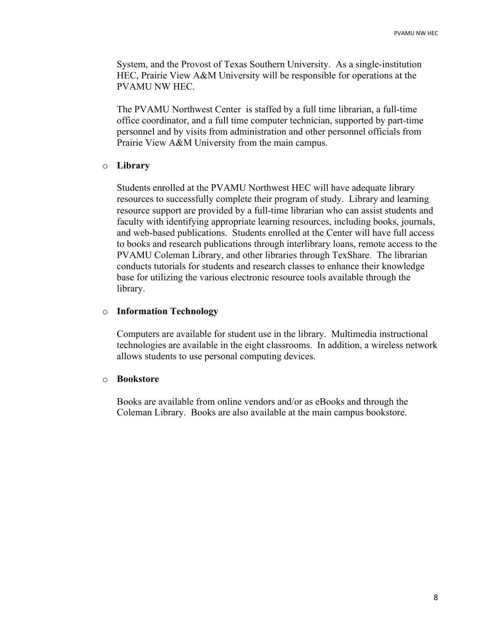System, and the Provost of Texas Southern University. As a single-institution HEC, Prairie View A&M University will be responsible for operations at the PVAMU NW HEC.

The PVAMU Northwest Center is staffed by a full time librarian, a full-time office coordinator, and a full time computer technician, supported by part-time personnel and by visits from administration and other personnel officials from Prairie View A&M University from the main campus.

#### o **Library**

Students enrolled at the PVAMU Northwest HEC will have adequate library resources to successfully complete their program of study. Library and learning resource support are provided by a full-time librarian who can assist students and faculty with identifying appropriate learning resources, including books, journals, and web-based publications. Students enrolled at the Center will have full access to books and research publications through interlibrary loans, remote access to the PVAMU Coleman Library, and other libraries through TexShare. The librarian conducts tutorials for students and research classes to enhance their knowledge base for utilizing the various electronic resource tools available through the library.

#### o **Information Technology**

Computers are available for student use in the library. Multimedia instructional technologies are available in the eight classrooms. In addition, a wireless network allows students to use personal computing devices.

#### o **Bookstore**

Books are available from online vendors and/or as eBooks and through the Coleman Library. Books are also available at the main campus bookstore.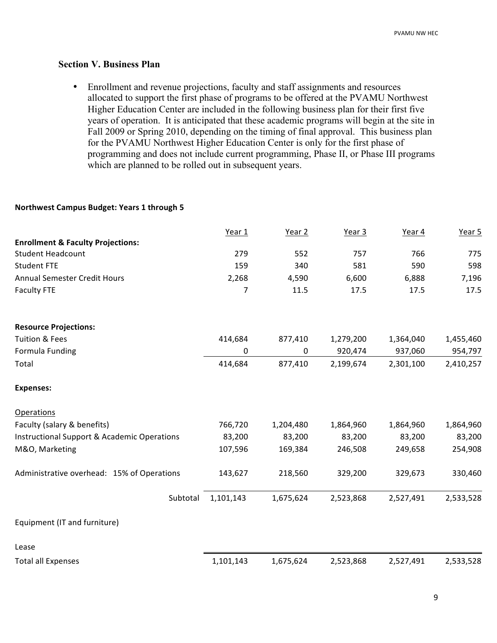#### **Section V. Business Plan**

• Enrollment and revenue projections, faculty and staff assignments and resources allocated to support the first phase of programs to be offered at the PVAMU Northwest Higher Education Center are included in the following business plan for their first five years of operation. It is anticipated that these academic programs will begin at the site in Fall 2009 or Spring 2010, depending on the timing of final approval. This business plan for the PVAMU Northwest Higher Education Center is only for the first phase of programming and does not include current programming, Phase II, or Phase III programs which are planned to be rolled out in subsequent years.

#### **Northwest
Campus
Budget:
Years
1
through
5**

|                                                        | Year 1    | Year 2    | Year 3    | Year 4    | Year 5    |
|--------------------------------------------------------|-----------|-----------|-----------|-----------|-----------|
| <b>Enrollment &amp; Faculty Projections:</b>           |           |           |           |           |           |
| <b>Student Headcount</b>                               | 279       | 552       | 757       | 766       | 775       |
| <b>Student FTE</b>                                     | 159       | 340       | 581       | 590       | 598       |
| <b>Annual Semester Credit Hours</b>                    | 2,268     | 4,590     | 6,600     | 6,888     | 7,196     |
| <b>Faculty FTE</b>                                     | 7         | 11.5      | 17.5      | 17.5      | 17.5      |
| <b>Resource Projections:</b>                           |           |           |           |           |           |
| <b>Tuition &amp; Fees</b>                              | 414,684   | 877,410   | 1,279,200 | 1,364,040 | 1,455,460 |
| Formula Funding                                        | 0         | 0         | 920,474   | 937,060   | 954,797   |
| Total                                                  | 414,684   | 877,410   | 2,199,674 | 2,301,100 | 2,410,257 |
| <b>Expenses:</b>                                       |           |           |           |           |           |
| <b>Operations</b>                                      |           |           |           |           |           |
| Faculty (salary & benefits)                            | 766,720   | 1,204,480 | 1,864,960 | 1,864,960 | 1,864,960 |
| <b>Instructional Support &amp; Academic Operations</b> | 83,200    | 83,200    | 83,200    | 83,200    | 83,200    |
| M&O, Marketing                                         | 107,596   | 169,384   | 246,508   | 249,658   | 254,908   |
| Administrative overhead: 15% of Operations             | 143,627   | 218,560   | 329,200   | 329,673   | 330,460   |
| Subtotal                                               | 1,101,143 | 1,675,624 | 2,523,868 | 2,527,491 | 2,533,528 |
| Equipment (IT and furniture)                           |           |           |           |           |           |
| Lease                                                  |           |           |           |           |           |
| <b>Total all Expenses</b>                              | 1,101,143 | 1,675,624 | 2,523,868 | 2,527,491 | 2,533,528 |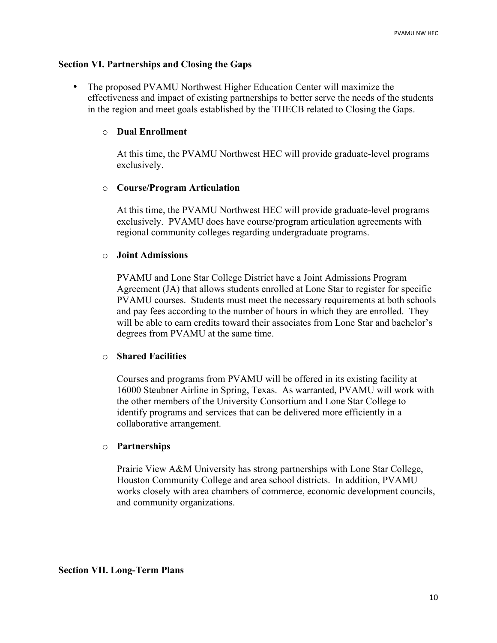#### **Section VI. Partnerships and Closing the Gaps**

• The proposed PVAMU Northwest Higher Education Center will maximize the effectiveness and impact of existing partnerships to better serve the needs of the students in the region and meet goals established by the THECB related to Closing the Gaps.

#### o **Dual Enrollment**

At this time, the PVAMU Northwest HEC will provide graduate-level programs exclusively.

#### o **Course/Program Articulation**

At this time, the PVAMU Northwest HEC will provide graduate-level programs exclusively. PVAMU does have course/program articulation agreements with regional community colleges regarding undergraduate programs.

#### o **Joint Admissions**

PVAMU and Lone Star College District have a Joint Admissions Program Agreement (JA) that allows students enrolled at Lone Star to register for specific PVAMU courses. Students must meet the necessary requirements at both schools and pay fees according to the number of hours in which they are enrolled. They will be able to earn credits toward their associates from Lone Star and bachelor's degrees from PVAMU at the same time.

#### o **Shared Facilities**

Courses and programs from PVAMU will be offered in its existing facility at 16000 Steubner Airline in Spring, Texas. As warranted, PVAMU will work with the other members of the University Consortium and Lone Star College to identify programs and services that can be delivered more efficiently in a collaborative arrangement.

#### o **Partnerships**

Prairie View A&M University has strong partnerships with Lone Star College, Houston Community College and area school districts. In addition, PVAMU works closely with area chambers of commerce, economic development councils, and community organizations.